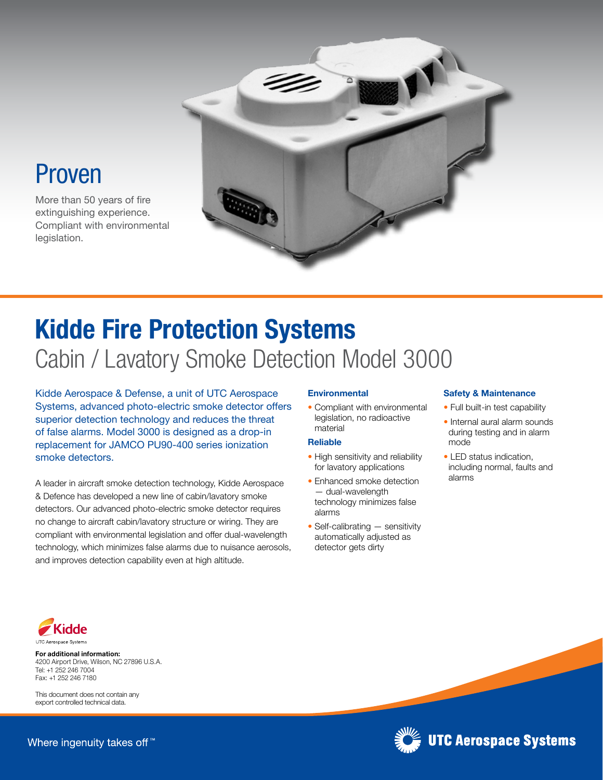

## Proven

More than 50 years of fire extinguishing experience. Compliant with environmental legislation.

# Kidde Fire Protection Systems Cabin / Lavatory Smoke Detection Model 3000

Kidde Aerospace & Defense, a unit of UTC Aerospace Systems, advanced photo-electric smoke detector offers superior detection technology and reduces the threat of false alarms. Model 3000 is designed as a drop-in replacement for JAMCO PU90-400 series ionization smoke detectors.

A leader in aircraft smoke detection technology, Kidde Aerospace & Defence has developed a new line of cabin/lavatory smoke detectors. Our advanced photo-electric smoke detector requires no change to aircraft cabin/lavatory structure or wiring. They are compliant with environmental legislation and offer dual-wavelength technology, which minimizes false alarms due to nuisance aerosols, and improves detection capability even at high altitude.

## **Environmental**

• Compliant with environmental legislation, no radioactive material

## Reliable

- High sensitivity and reliability for lavatory applications
- Enhanced smoke detection — dual-wavelength technology minimizes false alarms
- Self-calibrating sensitivity automatically adjusted as detector gets dirty

#### Safety & Maintenance

- Full built-in test capability
- Internal aural alarm sounds during testing and in alarm mode
- LED status indication, including normal, faults and alarms

**UTC Aerospace Systems** 



For additional information: 4200 Airport Drive, Wilson, NC 27896 U.S.A. Tel: +1 252 246 7004 Fax: +1 252 246 7180

This document does not contain any export controlled technical data